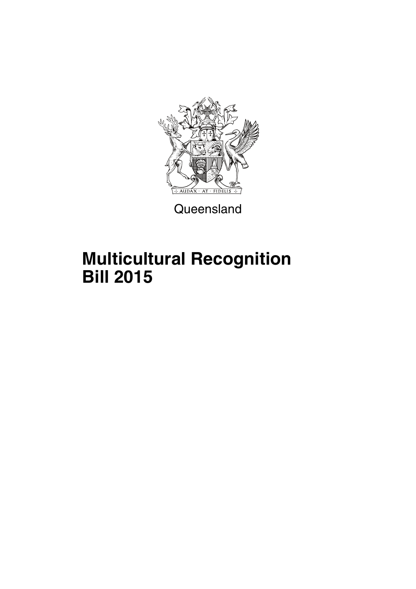

Queensland

# **Multicultural Recognition Bill 2015**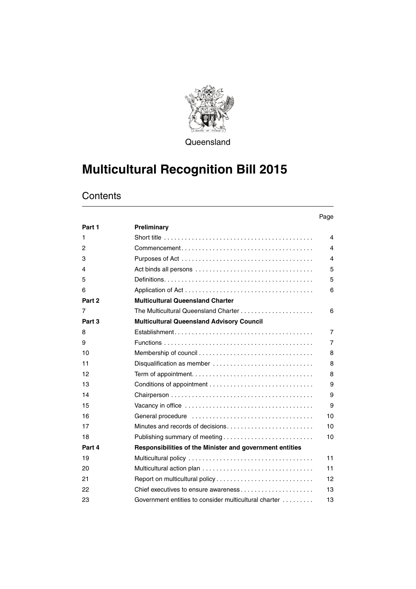

**Queensland** 

## **Multicultural Recognition Bill 2015**

## **Contents**

|        |                                                          | Page           |
|--------|----------------------------------------------------------|----------------|
| Part 1 | Preliminary                                              |                |
| 1      |                                                          | 4              |
| 2      |                                                          | 4              |
| 3      |                                                          | 4              |
| 4      |                                                          | 5              |
| 5      |                                                          | 5              |
| 6      |                                                          | 6              |
| Part 2 | <b>Multicultural Queensland Charter</b>                  |                |
| 7      | The Multicultural Queensland Charter                     | 6              |
| Part 3 | <b>Multicultural Queensland Advisory Council</b>         |                |
| 8      |                                                          | $\overline{7}$ |
| 9      |                                                          | $\overline{7}$ |
| 10     |                                                          | 8              |
| 11     | Disqualification as member                               | 8              |
| 12     |                                                          | 8              |
| 13     |                                                          | 9              |
| 14     |                                                          | 9              |
| 15     |                                                          | 9              |
| 16     |                                                          | 10             |
| 17     | Minutes and records of decisions                         | 10             |
| 18     | Publishing summary of meeting                            | 10             |
| Part 4 | Responsibilities of the Minister and government entities |                |
| 19     |                                                          | 11             |
| 20     |                                                          | 11             |
| 21     |                                                          | 12             |
| 22     | Chief executives to ensure awareness                     | 13             |
| 23     | Government entities to consider multicultural charter    | 13             |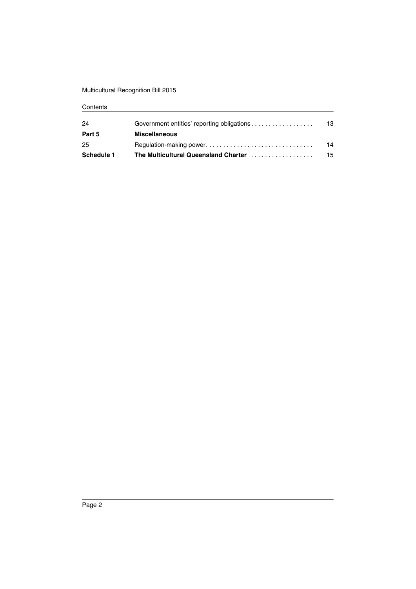## Multicultural Recognition Bill 2015

### **Contents**

| 24         | Government entities' reporting obligations | 13 |
|------------|--------------------------------------------|----|
| Part 5     | <b>Miscellaneous</b>                       |    |
| 25         |                                            | 14 |
| Schedule 1 | The Multicultural Queensland Charter       | 15 |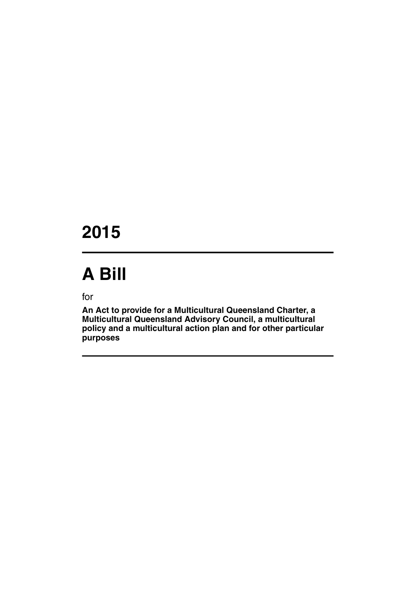## **2015**

# **A Bill**

for

**An Act to provide for a Multicultural Queensland Charter, a Multicultural Queensland Advisory Council, a multicultural policy and a multicultural action plan and for other particular purposes**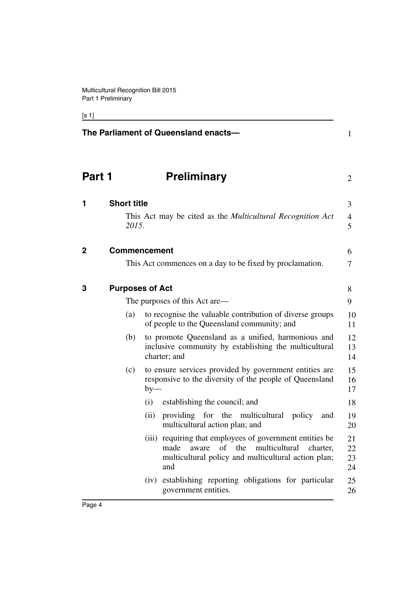## [s 1]

<span id="page-5-3"></span><span id="page-5-2"></span><span id="page-5-1"></span><span id="page-5-0"></span>

|              |                             | The Parliament of Queensland enacts-                                                                                                                                                                                                                                                                                                                                                                                                                                                                                        | $\mathbf{1}$                                                         |
|--------------|-----------------------------|-----------------------------------------------------------------------------------------------------------------------------------------------------------------------------------------------------------------------------------------------------------------------------------------------------------------------------------------------------------------------------------------------------------------------------------------------------------------------------------------------------------------------------|----------------------------------------------------------------------|
| Part 1       |                             | <b>Preliminary</b>                                                                                                                                                                                                                                                                                                                                                                                                                                                                                                          | $\overline{2}$                                                       |
| 1            | <b>Short title</b><br>2015. | This Act may be cited as the <i>Multicultural Recognition Act</i>                                                                                                                                                                                                                                                                                                                                                                                                                                                           | 3<br>4<br>5                                                          |
| $\mathbf{2}$ |                             | <b>Commencement</b><br>This Act commences on a day to be fixed by proclamation.                                                                                                                                                                                                                                                                                                                                                                                                                                             | 6<br>7                                                               |
| 3            | (a)<br>(b)                  | <b>Purposes of Act</b><br>The purposes of this Act are—<br>to recognise the valuable contribution of diverse groups<br>of people to the Queensland community; and<br>to promote Queensland as a unified, harmonious and<br>inclusive community by establishing the multicultural<br>charter; and                                                                                                                                                                                                                            | 8<br>9<br>10<br>11<br>12<br>13<br>14                                 |
|              | (c)                         | to ensure services provided by government entities are<br>responsive to the diversity of the people of Queensland<br>$by-$<br>establishing the council; and<br>(i)<br>providing for the multicultural policy<br>(ii)<br>and<br>multicultural action plan; and<br>(iii) requiring that employees of government entities be<br>aware of the multicultural<br>made<br>charter,<br>multicultural policy and multicultural action plan;<br>and<br>(iv) establishing reporting obligations for particular<br>government entities. | 15<br>16<br>17<br>18<br>19<br>20<br>21<br>22<br>23<br>24<br>25<br>26 |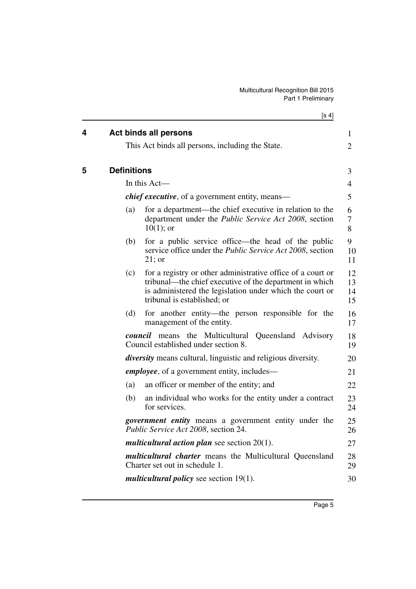[s 4]

<span id="page-6-1"></span><span id="page-6-0"></span>

| 4 | <b>Act binds all persons</b>                                                                                                                                                                                             | $\mathbf{1}$         |
|---|--------------------------------------------------------------------------------------------------------------------------------------------------------------------------------------------------------------------------|----------------------|
|   | This Act binds all persons, including the State.                                                                                                                                                                         | $\overline{2}$       |
| 5 | <b>Definitions</b>                                                                                                                                                                                                       | 3                    |
|   | In this Act-                                                                                                                                                                                                             | $\overline{4}$       |
|   | <i>chief executive</i> , of a government entity, means—                                                                                                                                                                  | 5                    |
|   | for a department—the chief executive in relation to the<br>(a)<br>department under the <i>Public Service Act 2008</i> , section<br>$10(1)$ ; or                                                                          | 6<br>$\tau$<br>8     |
|   | (b)<br>for a public service office—the head of the public<br>service office under the <i>Public Service Act 2008</i> , section<br>$21$ ; or                                                                              | 9<br>10<br>11        |
|   | (c)<br>for a registry or other administrative office of a court or<br>tribunal—the chief executive of the department in which<br>is administered the legislation under which the court or<br>tribunal is established; or | 12<br>13<br>14<br>15 |
|   | for another entity—the person responsible for the<br>(d)<br>management of the entity.                                                                                                                                    | 16<br>17             |
|   | <b><i>council</i></b> means the Multicultural Queensland Advisory<br>Council established under section 8.                                                                                                                | 18<br>19             |
|   | <i>diversity</i> means cultural, linguistic and religious diversity.                                                                                                                                                     | 20                   |
|   | <i>employee</i> , of a government entity, includes—                                                                                                                                                                      | 21                   |
|   | (a)<br>an officer or member of the entity; and                                                                                                                                                                           | 22                   |
|   | (b)<br>an individual who works for the entity under a contract<br>for services.                                                                                                                                          | 23<br>24             |
|   | <i>government entity</i> means a government entity under the<br>Public Service Act 2008, section 24.                                                                                                                     | 25<br>26             |
|   | <i>multicultural action plan</i> see section $20(1)$ .                                                                                                                                                                   | 27                   |
|   | <i>multicultural charter</i> means the Multicultural Queensland<br>Charter set out in schedule 1.                                                                                                                        | 28<br>29             |
|   | <i>multicultural policy</i> see section 19(1).                                                                                                                                                                           | 30                   |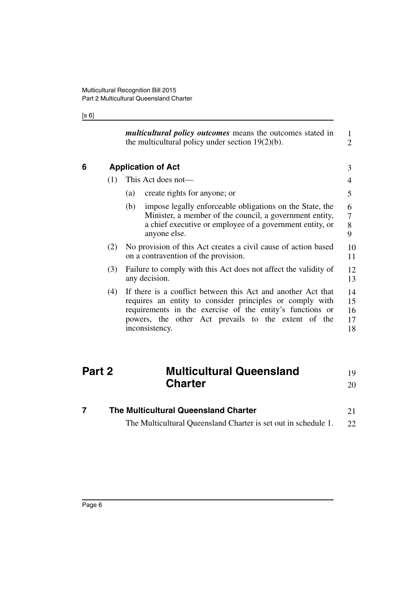### [s 6]

<span id="page-7-0"></span>

|     | <i>multicultural policy outcomes</i> means the outcomes stated in<br>the multicultural policy under section $19(2)(b)$ .                                                                                                                                       | $\mathbf{1}$<br>$\overline{2}$ |
|-----|----------------------------------------------------------------------------------------------------------------------------------------------------------------------------------------------------------------------------------------------------------------|--------------------------------|
|     | <b>Application of Act</b>                                                                                                                                                                                                                                      | 3                              |
| (1) | This Act does not—                                                                                                                                                                                                                                             | 4                              |
|     | create rights for anyone; or<br>(a)                                                                                                                                                                                                                            | 5                              |
|     | impose legally enforceable obligations on the State, the<br>(b)<br>Minister, a member of the council, a government entity,<br>a chief executive or employee of a government entity, or<br>anyone else.                                                         | 6<br>7<br>8<br>9               |
| (2) | No provision of this Act creates a civil cause of action based<br>on a contravention of the provision.                                                                                                                                                         | 10<br>11                       |
| (3) | Failure to comply with this Act does not affect the validity of<br>any decision.                                                                                                                                                                               | 12<br>13                       |
| (4) | If there is a conflict between this Act and another Act that<br>requires an entity to consider principles or comply with<br>requirements in the exercise of the entity's functions or<br>powers, the other Act prevails to the extent of the<br>inconsistency. | 14<br>15<br>16<br>17<br>18     |

#### <span id="page-7-1"></span>**Part 2 Multicultural Queensland Charter** 19 20

<span id="page-7-2"></span>

| The Multicultural Queensland Charter                           |    |  |
|----------------------------------------------------------------|----|--|
| The Multicultural Queensland Charter is set out in schedule 1. | 22 |  |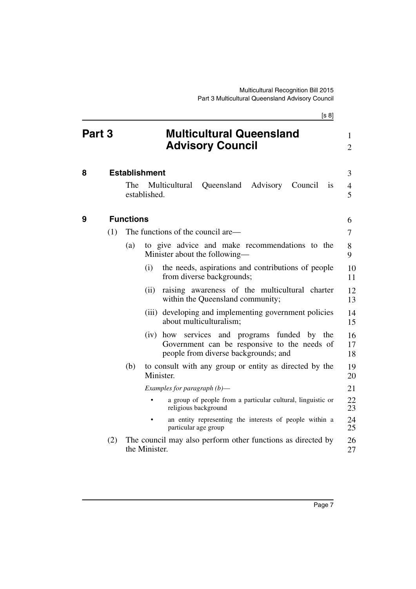<span id="page-8-2"></span><span id="page-8-1"></span><span id="page-8-0"></span>[s 8] **Part 3 Multicultural Queensland Advisory Council 8 Establishment** The Multicultural Queensland Advisory Council is established. **9 Functions** (1) The functions of the council are— (a) to give advice and make recommendations to the Minister about the following— (i) the needs, aspirations and contributions of people from diverse backgrounds; (ii) raising awareness of the multicultural charter within the Queensland community; (iii) developing and implementing government policies about multiculturalism; (iv) how services and programs funded by the Government can be responsive to the needs of people from diverse backgrounds; and (b) to consult with any group or entity as directed by the Minister. *Examples for paragraph (b)*— • a group of people from a particular cultural, linguistic or religious background an entity representing the interests of people within a particular age group (2) The council may also perform other functions as directed by the Minister. 1  $\mathcal{D}$ 3 4 5 6 7 8 9 10 11 12 13 14 15 16 17 18 19 20 21 22 23 24 25 26 27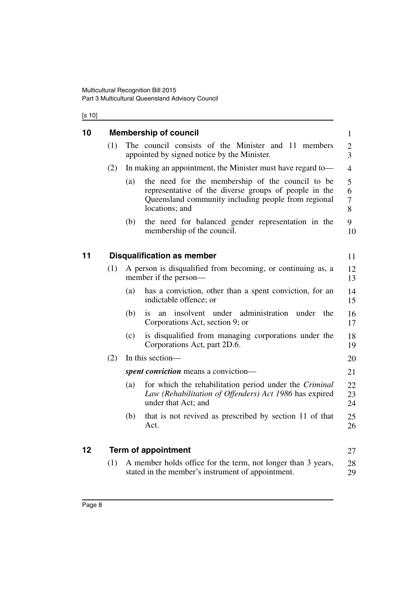## [s 10]

<span id="page-9-2"></span><span id="page-9-1"></span><span id="page-9-0"></span>

| 10 |     | <b>Membership of council</b>                                                                                                                                                              | $\mathbf{1}$          |
|----|-----|-------------------------------------------------------------------------------------------------------------------------------------------------------------------------------------------|-----------------------|
|    | (1) | The council consists of the Minister and 11 members<br>appointed by signed notice by the Minister.                                                                                        | 2<br>3                |
|    | (2) | In making an appointment, the Minister must have regard to-                                                                                                                               | $\overline{4}$        |
|    |     | the need for the membership of the council to be<br>(a)<br>representative of the diverse groups of people in the<br>Queensland community including people from regional<br>locations; and | 5<br>6<br>$\tau$<br>8 |
|    |     | the need for balanced gender representation in the<br>(b)<br>membership of the council.                                                                                                   | 9<br>10               |
| 11 |     | <b>Disqualification as member</b>                                                                                                                                                         | 11                    |
|    | (1) | A person is disqualified from becoming, or continuing as, a<br>member if the person—                                                                                                      | 12<br>13              |
|    |     | has a conviction, other than a spent conviction, for an<br>(a)<br>indictable offence; or                                                                                                  | 14<br>15              |
|    |     | (b)<br>insolvent under administration<br>the<br>under<br>1S<br>an<br>Corporations Act, section 9; or                                                                                      | 16<br>17              |
|    |     | (c)<br>is disqualified from managing corporations under the<br>Corporations Act, part 2D.6.                                                                                               | 18<br>19              |
|    | (2) | In this section—                                                                                                                                                                          | 20                    |
|    |     | <i>spent conviction</i> means a conviction—                                                                                                                                               | 21                    |
|    |     | for which the rehabilitation period under the Criminal<br>(a)<br>Law (Rehabilitation of Offenders) Act 1986 has expired<br>under that Act; and                                            | 22<br>23<br>24        |
|    |     | that is not revived as prescribed by section 11 of that<br>(b)<br>Act.                                                                                                                    | 25<br>26              |
| 12 |     | <b>Term of appointment</b>                                                                                                                                                                | 27                    |
|    | (1) | A member holds office for the term, not longer than 3 years,<br>stated in the member's instrument of appointment.                                                                         | 28<br>29              |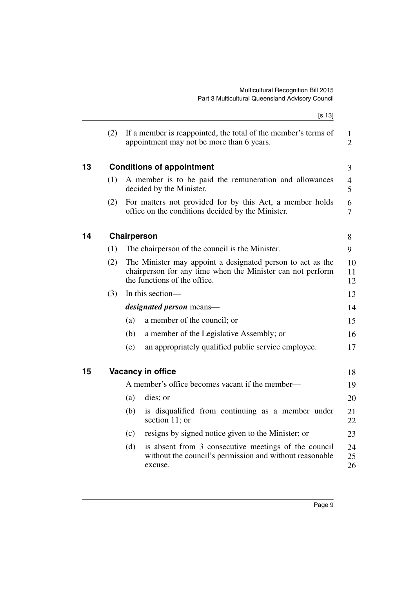<span id="page-10-2"></span><span id="page-10-1"></span><span id="page-10-0"></span>

|    |     |                                                                                                                                                          | [s 13]                                                                                                                     |                                |
|----|-----|----------------------------------------------------------------------------------------------------------------------------------------------------------|----------------------------------------------------------------------------------------------------------------------------|--------------------------------|
|    | (2) |                                                                                                                                                          | If a member is reappointed, the total of the member's terms of<br>appointment may not be more than 6 years.                | $\mathbf{1}$<br>$\overline{2}$ |
| 13 |     |                                                                                                                                                          | <b>Conditions of appointment</b>                                                                                           | 3                              |
|    | (1) |                                                                                                                                                          | A member is to be paid the remuneration and allowances<br>decided by the Minister.                                         | $\overline{4}$<br>5            |
|    | (2) |                                                                                                                                                          | For matters not provided for by this Act, a member holds<br>office on the conditions decided by the Minister.              | 6<br>7                         |
| 14 |     | Chairperson                                                                                                                                              |                                                                                                                            | 8                              |
|    | (1) |                                                                                                                                                          | The chairperson of the council is the Minister.                                                                            | 9                              |
|    | (2) | The Minister may appoint a designated person to act as the<br>chairperson for any time when the Minister can not perform<br>the functions of the office. |                                                                                                                            | 10<br>11<br>12                 |
|    | (3) |                                                                                                                                                          | In this section-                                                                                                           | 13                             |
|    |     |                                                                                                                                                          | <i>designated person</i> means—                                                                                            | 14                             |
|    |     | (a)                                                                                                                                                      | a member of the council; or                                                                                                | 15                             |
|    |     | (b)                                                                                                                                                      | a member of the Legislative Assembly; or                                                                                   | 16                             |
|    |     | (c)                                                                                                                                                      | an appropriately qualified public service employee.                                                                        | 17                             |
| 15 |     |                                                                                                                                                          | Vacancy in office                                                                                                          | 18                             |
|    |     |                                                                                                                                                          | A member's office becomes vacant if the member—                                                                            | 19                             |
|    |     | (a)                                                                                                                                                      | dies; or                                                                                                                   | 20                             |
|    |     | (b)                                                                                                                                                      | is disqualified from continuing as a member under<br>section 11; or                                                        | 21<br>22                       |
|    |     | (c)                                                                                                                                                      | resigns by signed notice given to the Minister; or                                                                         | 23                             |
|    |     | (d)                                                                                                                                                      | is absent from 3 consecutive meetings of the council<br>without the council's permission and without reasonable<br>excuse. | 24<br>25<br>26                 |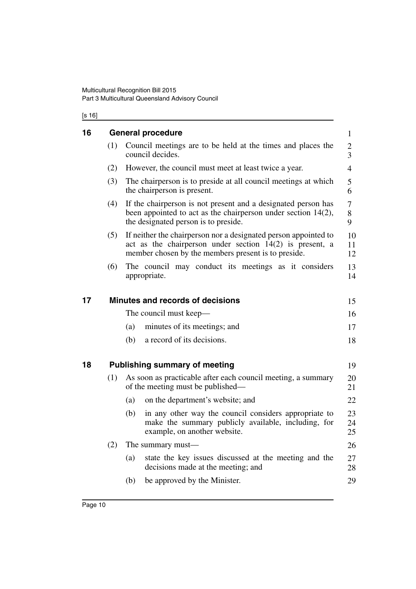### [s 16]

<span id="page-11-2"></span><span id="page-11-1"></span><span id="page-11-0"></span>

| 16 | <b>General procedure</b> |                                                                                                                                                                                      |                |  |  |
|----|--------------------------|--------------------------------------------------------------------------------------------------------------------------------------------------------------------------------------|----------------|--|--|
|    | (1)                      | Council meetings are to be held at the times and places the<br>council decides.                                                                                                      | 2<br>3         |  |  |
|    | (2)                      | However, the council must meet at least twice a year.                                                                                                                                | $\overline{4}$ |  |  |
|    | (3)                      | The chairperson is to preside at all council meetings at which<br>the chairperson is present.                                                                                        | 5<br>6         |  |  |
|    | (4)                      | If the chairperson is not present and a designated person has<br>been appointed to act as the chairperson under section $14(2)$ ,<br>the designated person is to preside.            | 7<br>8<br>9    |  |  |
|    | (5)                      | If neither the chairperson nor a designated person appointed to<br>act as the chairperson under section $14(2)$ is present, a<br>member chosen by the members present is to preside. | 10<br>11<br>12 |  |  |
|    | (6)                      | The council may conduct its meetings as it considers<br>appropriate.                                                                                                                 | 13<br>14       |  |  |
| 17 |                          | Minutes and records of decisions                                                                                                                                                     | 15             |  |  |
|    |                          | The council must keep—                                                                                                                                                               | 16             |  |  |
|    |                          | minutes of its meetings; and<br>(a)                                                                                                                                                  | 17             |  |  |
|    |                          | a record of its decisions.<br>(b)                                                                                                                                                    | 18             |  |  |
| 18 |                          | <b>Publishing summary of meeting</b>                                                                                                                                                 | 19             |  |  |
|    | (1)                      | As soon as practicable after each council meeting, a summary<br>of the meeting must be published—                                                                                    | 20<br>21       |  |  |
|    |                          | on the department's website; and<br>(a)                                                                                                                                              | 22             |  |  |
|    |                          | (b)<br>in any other way the council considers appropriate to<br>make the summary publicly available, including, for<br>example, on another website.                                  | 23<br>24<br>25 |  |  |
|    | (2)                      | The summary must—                                                                                                                                                                    | 26             |  |  |
|    |                          | (a)<br>state the key issues discussed at the meeting and the<br>decisions made at the meeting; and                                                                                   | 27<br>28       |  |  |
|    |                          | be approved by the Minister.<br>(b)                                                                                                                                                  | 29             |  |  |
|    |                          |                                                                                                                                                                                      |                |  |  |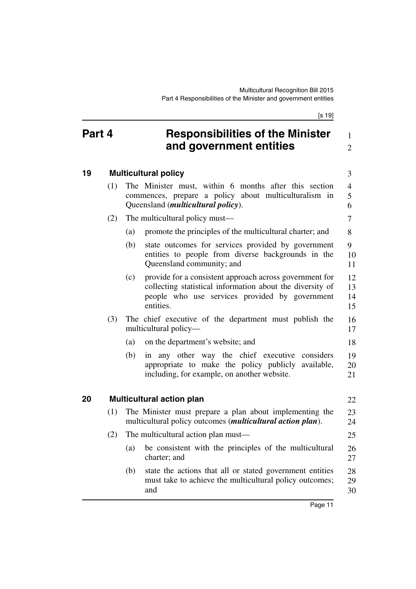1  $\mathfrak{D}$ 

8

18

22

25

## <span id="page-12-0"></span>**Part 4 Responsibilities of the Minister and government entities**

## <span id="page-12-1"></span>**19 Multicultural policy**

- (1) The Minister must, within 6 months after this section commences, prepare a policy about multiculturalism in Queensland (*multicultural policy*). (2) The multicultural policy must— 3 4 5 6 7
	- (a) promote the principles of the multicultural charter; and
	- (b) state outcomes for services provided by government entities to people from diverse backgrounds in the Queensland community; and  $\mathbf{Q}$ 10 11
	- (c) provide for a consistent approach across government for collecting statistical information about the diversity of people who use services provided by government entities. 12 13 14 15
- (3) The chief executive of the department must publish the multicultural policy— 16 17
	- (a) on the department's website; and
	- (b) in any other way the chief executive considers appropriate to make the policy publicly available, including, for example, on another website. 19 20 21

## <span id="page-12-2"></span>**20 Multicultural action plan**

(1) The Minister must prepare a plan about implementing the multicultural policy outcomes (*multicultural action plan*). 23 24

## (2) The multicultural action plan must—

- (a) be consistent with the principles of the multicultural charter; and 26 27
- (b) state the actions that all or stated government entities must take to achieve the multicultural policy outcomes; and 28 29 30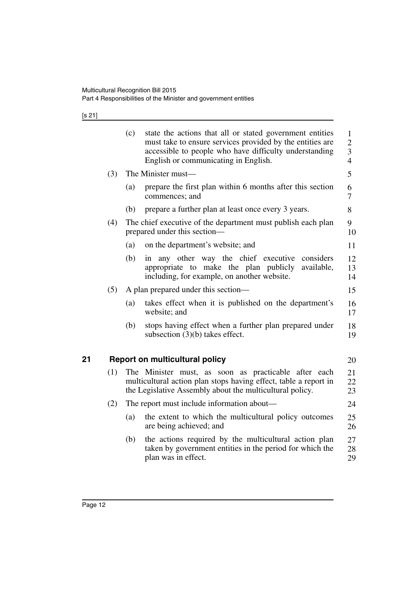[s 21]

<span id="page-13-0"></span>

|    |     | (c) | state the actions that all or stated government entities<br>must take to ensure services provided by the entities are<br>accessible to people who have difficulty understanding<br>English or communicating in English. | $\mathbf{1}$<br>$\mathbf{2}$<br>$\mathfrak{Z}$<br>$\overline{4}$ |
|----|-----|-----|-------------------------------------------------------------------------------------------------------------------------------------------------------------------------------------------------------------------------|------------------------------------------------------------------|
|    | (3) |     | The Minister must—                                                                                                                                                                                                      | 5                                                                |
|    |     | (a) | prepare the first plan within 6 months after this section<br>commences; and                                                                                                                                             | 6<br>7                                                           |
|    |     | (b) | prepare a further plan at least once every 3 years.                                                                                                                                                                     | 8                                                                |
|    | (4) |     | The chief executive of the department must publish each plan<br>prepared under this section—                                                                                                                            | 9<br>10                                                          |
|    |     | (a) | on the department's website; and                                                                                                                                                                                        | 11                                                               |
|    |     | (b) | any other way the chief executive<br>considers<br>in<br>appropriate to make the plan publicly<br>available,<br>including, for example, on another website.                                                              | 12<br>13<br>14                                                   |
|    | (5) |     | A plan prepared under this section—                                                                                                                                                                                     | 15                                                               |
|    |     | (a) | takes effect when it is published on the department's<br>website; and                                                                                                                                                   | 16<br>17                                                         |
|    |     | (b) | stops having effect when a further plan prepared under<br>subsection $(3)(b)$ takes effect.                                                                                                                             | 18<br>19                                                         |
|    |     |     |                                                                                                                                                                                                                         |                                                                  |
| 21 |     |     | <b>Report on multicultural policy</b>                                                                                                                                                                                   | 20                                                               |
|    | (1) |     | The Minister must, as soon as practicable after each<br>multicultural action plan stops having effect, table a report in<br>the Legislative Assembly about the multicultural policy.                                    | 21<br>22<br>23                                                   |
|    | (2) |     | The report must include information about—                                                                                                                                                                              | 24                                                               |
|    |     | (a) | the extent to which the multicultural policy outcomes<br>are being achieved; and                                                                                                                                        | 25<br>26                                                         |
|    |     | (b) | the actions required by the multicultural action plan<br>taken by government entities in the period for which the<br>plan was in effect.                                                                                | 27<br>28<br>29                                                   |
|    |     |     |                                                                                                                                                                                                                         |                                                                  |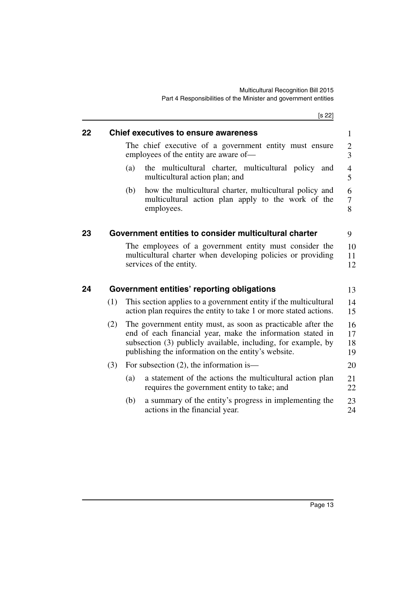<span id="page-14-2"></span><span id="page-14-1"></span><span id="page-14-0"></span>

|    |     |     | [s 22]                                                                                                                                                                                                                                             |                      |
|----|-----|-----|----------------------------------------------------------------------------------------------------------------------------------------------------------------------------------------------------------------------------------------------------|----------------------|
| 22 |     |     | <b>Chief executives to ensure awareness</b>                                                                                                                                                                                                        | 1                    |
|    |     |     | The chief executive of a government entity must ensure<br>employees of the entity are aware of-                                                                                                                                                    | $\overline{2}$<br>3  |
|    |     | (a) | the multicultural charter, multicultural policy<br>and<br>multicultural action plan; and                                                                                                                                                           | 4<br>5               |
|    |     | (b) | how the multicultural charter, multicultural policy and<br>multicultural action plan apply to the work of the<br>employees.                                                                                                                        | 6<br>7<br>8          |
| 23 |     |     | Government entities to consider multicultural charter                                                                                                                                                                                              | 9                    |
|    |     |     | The employees of a government entity must consider the<br>multicultural charter when developing policies or providing<br>services of the entity.                                                                                                   | 10<br>11<br>12       |
| 24 |     |     | Government entities' reporting obligations                                                                                                                                                                                                         | 13                   |
|    | (1) |     | This section applies to a government entity if the multicultural<br>action plan requires the entity to take 1 or more stated actions.                                                                                                              | 14<br>15             |
|    | (2) |     | The government entity must, as soon as practicable after the<br>end of each financial year, make the information stated in<br>subsection (3) publicly available, including, for example, by<br>publishing the information on the entity's website. | 16<br>17<br>18<br>19 |
|    | (3) |     | For subsection $(2)$ , the information is—                                                                                                                                                                                                         | 20                   |
|    |     | (a) | a statement of the actions the multicultural action plan<br>requires the government entity to take; and                                                                                                                                            | 21<br>22             |
|    |     | (b) | a summary of the entity's progress in implementing the<br>actions in the financial year.                                                                                                                                                           | 23<br>24             |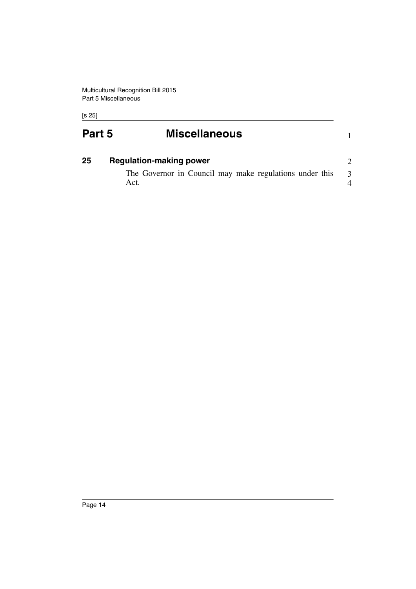Act.

[s 25]

<span id="page-15-1"></span><span id="page-15-0"></span>

| Part 5 | <b>Miscellaneous</b>                                    |   |
|--------|---------------------------------------------------------|---|
| 25     | <b>Regulation-making power</b>                          |   |
|        | The Governor in Council may make regulations under this | 3 |

4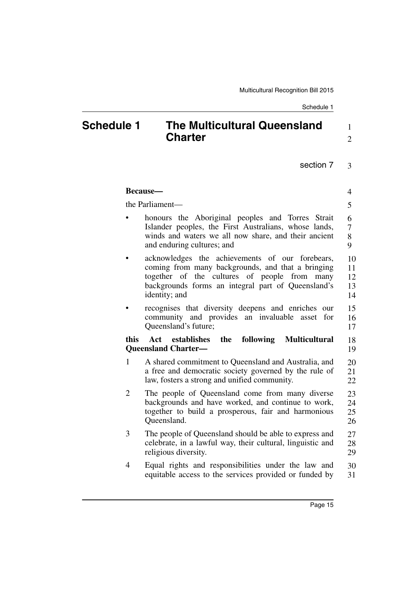## <span id="page-16-0"></span>**Schedule 1 The Multicultural Queensland Charter**

1 2

|                 | Because-                                                                                                                                                                                                                    | 4                             |
|-----------------|-----------------------------------------------------------------------------------------------------------------------------------------------------------------------------------------------------------------------------|-------------------------------|
| the Parliament- |                                                                                                                                                                                                                             | 5                             |
|                 | honours the Aboriginal peoples and Torres Strait<br>Islander peoples, the First Australians, whose lands,<br>winds and waters we all now share, and their ancient<br>and enduring cultures; and                             | 6<br>$\overline{7}$<br>8<br>9 |
|                 | acknowledges the achievements of our forebears,<br>coming from many backgrounds, and that a bringing<br>together of the cultures of people from many<br>backgrounds forms an integral part of Queensland's<br>identity; and | 10<br>11<br>12<br>13<br>14    |
|                 | recognises that diversity deepens and enriches<br>our<br>community and provides an invaluable<br>asset<br>for<br>Queensland's future;                                                                                       | 15<br>16<br>17                |
| this            | Act establishes<br>the<br>following<br><b>Multicultural</b><br><b>Queensland Charter—</b>                                                                                                                                   | 18<br>19                      |
| $\mathbf{1}$    | A shared commitment to Queensland and Australia, and<br>a free and democratic society governed by the rule of<br>law, fosters a strong and unified community.                                                               | 20<br>21<br>22                |
| $\overline{2}$  | The people of Queensland come from many diverse<br>backgrounds and have worked, and continue to work,<br>together to build a prosperous, fair and harmonious<br>Queensland.                                                 | 23<br>24<br>25<br>26          |
| 3               | The people of Queensland should be able to express and<br>celebrate, in a lawful way, their cultural, linguistic and<br>religious diversity.                                                                                | 27<br>28<br>29                |
| $\overline{4}$  | Equal rights and responsibilities under the law and<br>equitable access to the services provided or funded by                                                                                                               | 30<br>31                      |